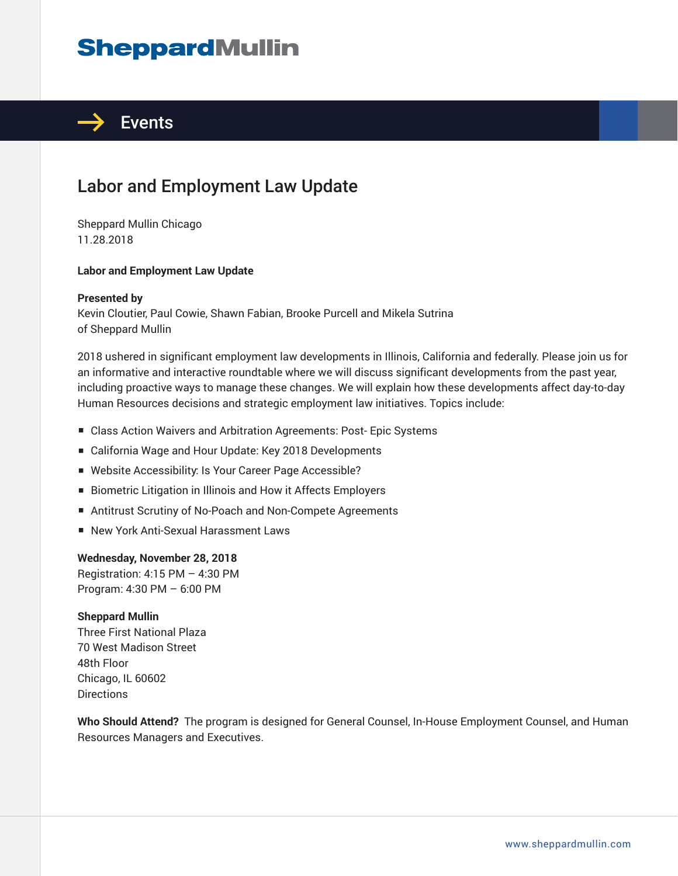# **SheppardMullin**



## Labor and Employment Law Update

Sheppard Mullin Chicago 11.28.2018

### **Labor and Employment Law Update**

### **Presented by**

Kevin Cloutier, Paul Cowie, Shawn Fabian, Brooke Purcell and Mikela Sutrina of Sheppard Mullin

2018 ushered in significant employment law developments in Illinois, California and federally. Please join us for an informative and interactive roundtable where we will discuss significant developments from the past year, including proactive ways to manage these changes. We will explain how these developments affect day-to-day Human Resources decisions and strategic employment law initiatives. Topics include:

- Class Action Waivers and Arbitration Agreements: Post- Epic Systems
- California Wage and Hour Update: Key 2018 Developments
- Website Accessibility: Is Your Career Page Accessible?
- Biometric Litigation in Illinois and How it Affects Employers
- Antitrust Scrutiny of No-Poach and Non-Compete Agreements
- New York Anti-Sexual Harassment Laws

### **Wednesday, November 28, 2018**

Registration: 4:15 PM – 4:30 PM Program: 4:30 PM – 6:00 PM

### **Sheppard Mullin**

Three First National Plaza 70 West Madison Street 48th Floor Chicago, IL 60602 **Directions** 

**Who Should Attend?** The program is designed for General Counsel, In-House Employment Counsel, and Human Resources Managers and Executives.